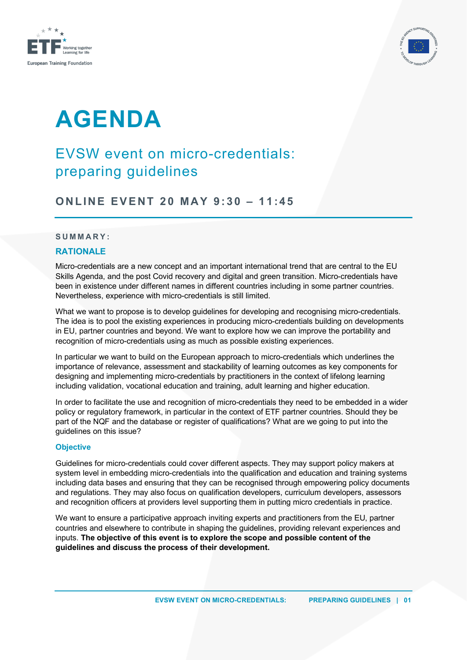



# **AGENDA**

## EVSW event on micro-credentials: preparing guidelines

**ONLINE EVENT 2 0 MAY 9 : 3 0 – 1 1 :4 5**

#### **SUMMARY:**

### **RATIONALE**

Micro-credentials are a new concept and an important international trend that are central to the EU Skills Agenda, and the post Covid recovery and digital and green transition. Micro-credentials have been in existence under different names in different countries including in some partner countries. Nevertheless, experience with micro-credentials is still limited.

What we want to propose is to develop guidelines for developing and recognising micro-credentials. The idea is to pool the existing experiences in producing micro-credentials building on developments in EU, partner countries and beyond. We want to explore how we can improve the portability and recognition of micro-credentials using as much as possible existing experiences.

In particular we want to build on the European approach to micro-credentials which underlines the importance of relevance, assessment and stackability of learning outcomes as key components for designing and implementing micro-credentials by practitioners in the context of lifelong learning including validation, vocational education and training, adult learning and higher education.

In order to facilitate the use and recognition of micro-credentials they need to be embedded in a wider policy or regulatory framework, in particular in the context of ETF partner countries. Should they be part of the NQF and the database or register of qualifications? What are we going to put into the guidelines on this issue?

#### **Objective**

Guidelines for micro-credentials could cover different aspects. They may support policy makers at system level in embedding micro-credentials into the qualification and education and training systems including data bases and ensuring that they can be recognised through empowering policy documents and regulations. They may also focus on qualification developers, curriculum developers, assessors and recognition officers at providers level supporting them in putting micro credentials in practice.

We want to ensure a participative approach inviting experts and practitioners from the EU, partner countries and elsewhere to contribute in shaping the guidelines, providing relevant experiences and inputs. **The objective of this event is to explore the scope and possible content of the guidelines and discuss the process of their development.**